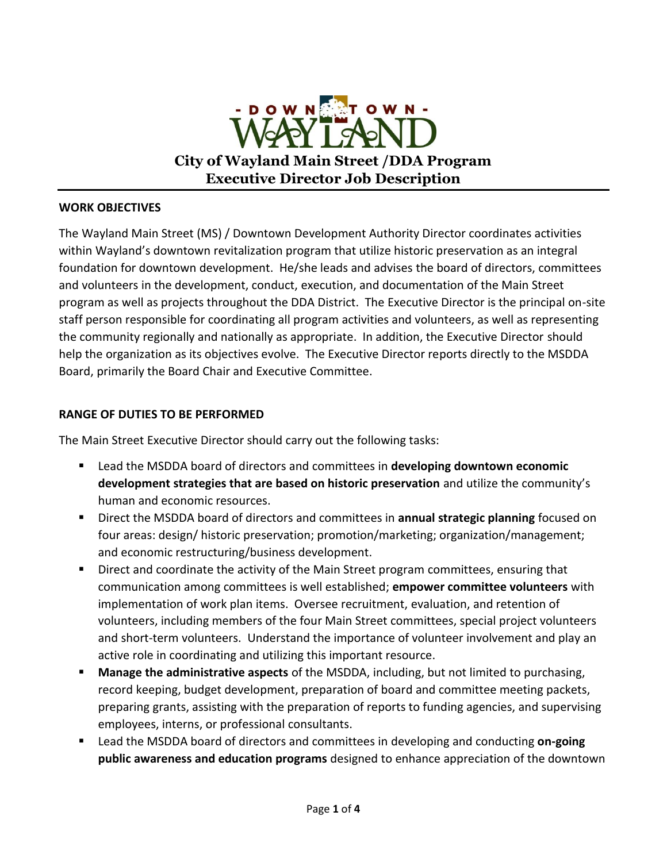

#### **WORK OBJECTIVES**

The Wayland Main Street (MS) / Downtown Development Authority Director coordinates activities within Wayland's downtown revitalization program that utilize historic preservation as an integral foundation for downtown development. He/she leads and advises the board of directors, committees and volunteers in the development, conduct, execution, and documentation of the Main Street program as well as projects throughout the DDA District. The Executive Director is the principal on-site staff person responsible for coordinating all program activities and volunteers, as well as representing the community regionally and nationally as appropriate. In addition, the Executive Director should help the organization as its objectives evolve. The Executive Director reports directly to the MSDDA Board, primarily the Board Chair and Executive Committee.

# **RANGE OF DUTIES TO BE PERFORMED**

The Main Street Executive Director should carry out the following tasks:

- Lead the MSDDA board of directors and committees in **developing downtown economic development strategies that are based on historic preservation** and utilize the community's human and economic resources.
- Direct the MSDDA board of directors and committees in **annual strategic planning** focused on four areas: design/ historic preservation; promotion/marketing; organization/management; and economic restructuring/business development.
- **Direct and coordinate the activity of the Main Street program committees, ensuring that** communication among committees is well established; **empower committee volunteers** with implementation of work plan items. Oversee recruitment, evaluation, and retention of volunteers, including members of the four Main Street committees, special project volunteers and short-term volunteers. Understand the importance of volunteer involvement and play an active role in coordinating and utilizing this important resource.
- **Manage the administrative aspects** of the MSDDA, including, but not limited to purchasing, record keeping, budget development, preparation of board and committee meeting packets, preparing grants, assisting with the preparation of reports to funding agencies, and supervising employees, interns, or professional consultants.
- Lead the MSDDA board of directors and committees in developing and conducting on-going **public awareness and education programs** designed to enhance appreciation of the downtown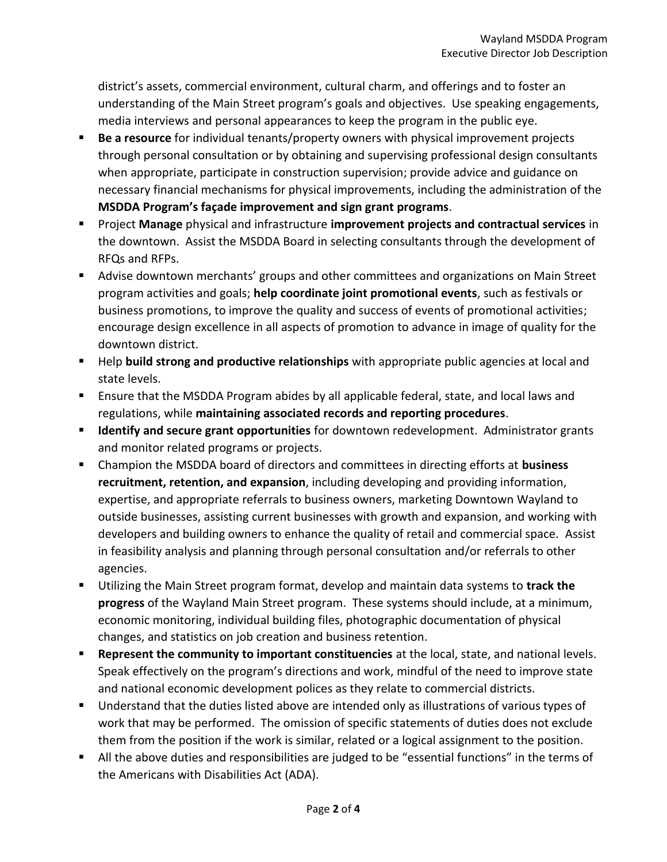district's assets, commercial environment, cultural charm, and offerings and to foster an understanding of the Main Street program's goals and objectives. Use speaking engagements, media interviews and personal appearances to keep the program in the public eye.

- **Be a resource** for individual tenants/property owners with physical improvement projects through personal consultation or by obtaining and supervising professional design consultants when appropriate, participate in construction supervision; provide advice and guidance on necessary financial mechanisms for physical improvements, including the administration of the **MSDDA Program's façade improvement and sign grant programs**.
- Project **Manage** physical and infrastructure **improvement projects and contractual services** in the downtown. Assist the MSDDA Board in selecting consultants through the development of RFQs and RFPs.
- Advise downtown merchants' groups and other committees and organizations on Main Street program activities and goals; **help coordinate joint promotional events**, such as festivals or business promotions, to improve the quality and success of events of promotional activities; encourage design excellence in all aspects of promotion to advance in image of quality for the downtown district.
- Help **build strong and productive relationships** with appropriate public agencies at local and state levels.
- Ensure that the MSDDA Program abides by all applicable federal, state, and local laws and regulations, while **maintaining associated records and reporting procedures**.
- **Identify and secure grant opportunities** for downtown redevelopment. Administrator grants and monitor related programs or projects.
- Champion the MSDDA board of directors and committees in directing efforts at **business recruitment, retention, and expansion**, including developing and providing information, expertise, and appropriate referrals to business owners, marketing Downtown Wayland to outside businesses, assisting current businesses with growth and expansion, and working with developers and building owners to enhance the quality of retail and commercial space. Assist in feasibility analysis and planning through personal consultation and/or referrals to other agencies.
- Utilizing the Main Street program format, develop and maintain data systems to **track the progress** of the Wayland Main Street program. These systems should include, at a minimum, economic monitoring, individual building files, photographic documentation of physical changes, and statistics on job creation and business retention.
- **Represent the community to important constituencies** at the local, state, and national levels. Speak effectively on the program's directions and work, mindful of the need to improve state and national economic development polices as they relate to commercial districts.
- **Understand that the duties listed above are intended only as illustrations of various types of** work that may be performed. The omission of specific statements of duties does not exclude them from the position if the work is similar, related or a logical assignment to the position.
- All the above duties and responsibilities are judged to be "essential functions" in the terms of the Americans with Disabilities Act (ADA).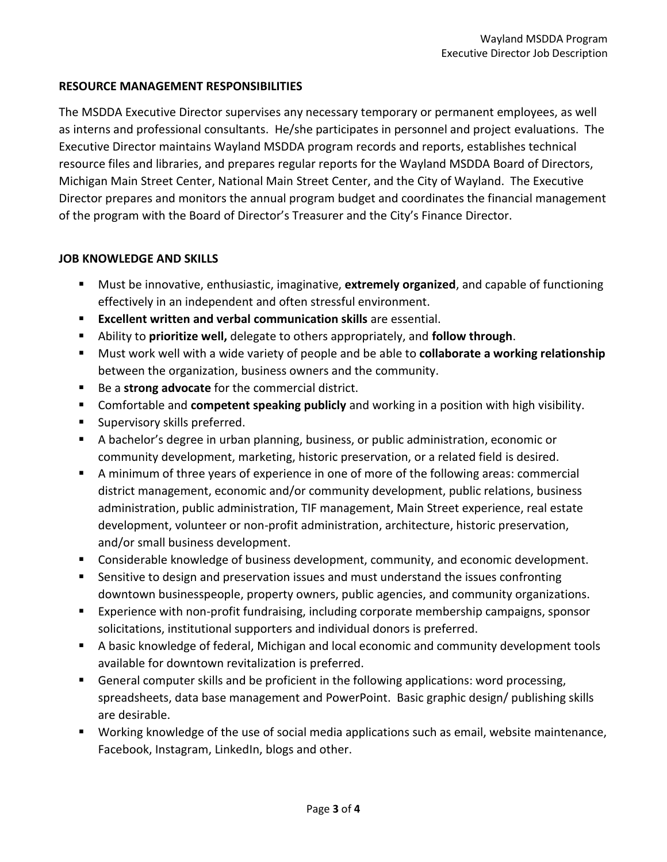### **RESOURCE MANAGEMENT RESPONSIBILITIES**

The MSDDA Executive Director supervises any necessary temporary or permanent employees, as well as interns and professional consultants. He/she participates in personnel and project evaluations. The Executive Director maintains Wayland MSDDA program records and reports, establishes technical resource files and libraries, and prepares regular reports for the Wayland MSDDA Board of Directors, Michigan Main Street Center, National Main Street Center, and the City of Wayland. The Executive Director prepares and monitors the annual program budget and coordinates the financial management of the program with the Board of Director's Treasurer and the City's Finance Director.

#### **JOB KNOWLEDGE AND SKILLS**

- Must be innovative, enthusiastic, imaginative, **extremely organized**, and capable of functioning effectively in an independent and often stressful environment.
- **Excellent written and verbal communication skills** are essential.
- Ability to **prioritize well,** delegate to others appropriately, and **follow through**.
- Must work well with a wide variety of people and be able to **collaborate a working relationship** between the organization, business owners and the community.
- Be a **strong advocate** for the commercial district.
- Comfortable and **competent speaking publicly** and working in a position with high visibility.
- **Supervisory skills preferred.**
- A bachelor's degree in urban planning, business, or public administration, economic or community development, marketing, historic preservation, or a related field is desired.
- A minimum of three years of experience in one of more of the following areas: commercial district management, economic and/or community development, public relations, business administration, public administration, TIF management, Main Street experience, real estate development, volunteer or non-profit administration, architecture, historic preservation, and/or small business development.
- Considerable knowledge of business development, community, and economic development.
- Sensitive to design and preservation issues and must understand the issues confronting downtown businesspeople, property owners, public agencies, and community organizations.
- Experience with non-profit fundraising, including corporate membership campaigns, sponsor solicitations, institutional supporters and individual donors is preferred.
- A basic knowledge of federal, Michigan and local economic and community development tools available for downtown revitalization is preferred.
- General computer skills and be proficient in the following applications: word processing, spreadsheets, data base management and PowerPoint. Basic graphic design/ publishing skills are desirable.
- Working knowledge of the use of social media applications such as email, website maintenance, Facebook, Instagram, LinkedIn, blogs and other.